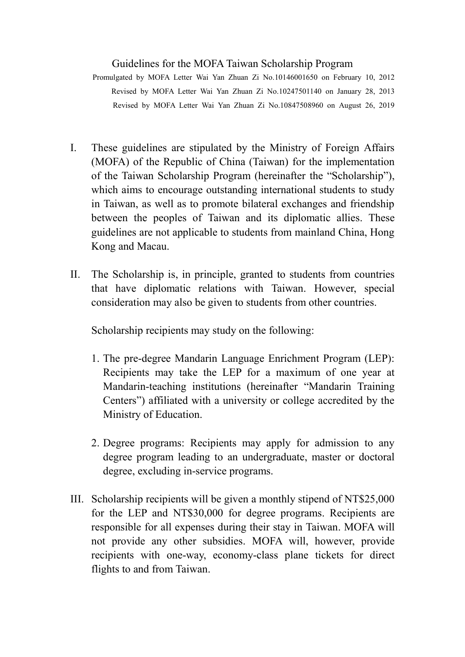## Guidelines for the MOFA Taiwan Scholarship Program

Promulgated by MOFA Letter Wai Yan Zhuan Zi No.10146001650 on February 10, 2012 Revised by MOFA Letter Wai Yan Zhuan Zi No.10247501140 on January 28, 2013 Revised by MOFA Letter Wai Yan Zhuan Zi No.10847508960 on August 26, 2019

- I. These guidelines are stipulated by the Ministry of Foreign Affairs (MOFA) of the Republic of China (Taiwan) for the implementation of the Taiwan Scholarship Program (hereinafter the "Scholarship"), which aims to encourage outstanding international students to study in Taiwan, as well as to promote bilateral exchanges and friendship between the peoples of Taiwan and its diplomatic allies. These guidelines are not applicable to students from mainland China, Hong Kong and Macau.
- II. The Scholarship is, in principle, granted to students from countries that have diplomatic relations with Taiwan. However, special consideration may also be given to students from other countries.

Scholarship recipients may study on the following:

- 1. The pre-degree Mandarin Language Enrichment Program (LEP): Recipients may take the LEP for a maximum of one year at Mandarin-teaching institutions (hereinafter "Mandarin Training Centers´) affiliated with a university or college accredited by the Ministry of Education.
- 2. Degree programs: Recipients may apply for admission to any degree program leading to an undergraduate, master or doctoral degree, excluding in-service programs.
- III. Scholarship recipients will be given a monthly stipend of NT\$25,000 for the LEP and NT\$30,000 for degree programs. Recipients are responsible for all expenses during their stay in Taiwan. MOFA will not provide any other subsidies. MOFA will, however, provide recipients with one-way, economy-class plane tickets for direct flights to and from Taiwan.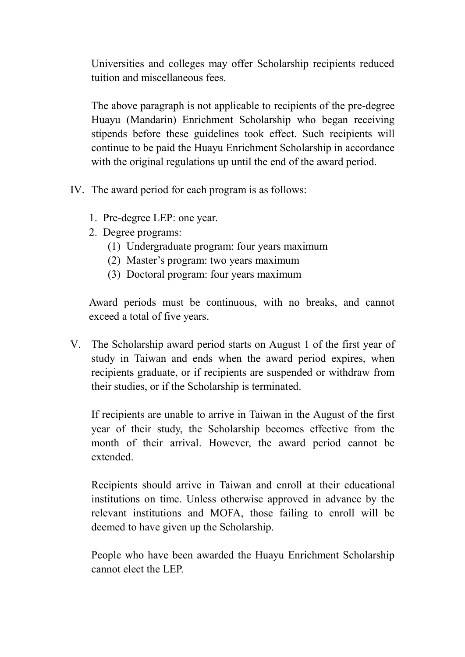Universities and colleges may offer Scholarship recipients reduced tuition and miscellaneous fees.

The above paragraph is not applicable to recipients of the pre-degree Huayu (Mandarin) Enrichment Scholarship who began receiving stipends before these guidelines took effect. Such recipients will continue to be paid the Huayu Enrichment Scholarship in accordance with the original regulations up until the end of the award period.

- IV. The award period for each program is as follows:
	- 1. Pre-degree LEP: one year.
	- 2. Degree programs:
		- (1) Undergraduate program: four years maximum
		- $(2)$  Master's program: two years maximum
		- (3) Doctoral program: four years maximum

Award periods must be continuous, with no breaks, and cannot exceed a total of five years.

V. The Scholarship award period starts on August 1 of the first year of study in Taiwan and ends when the award period expires, when recipients graduate, or if recipients are suspended or withdraw from their studies, or if the Scholarship is terminated.

If recipients are unable to arrive in Taiwan in the August of the first year of their study, the Scholarship becomes effective from the month of their arrival. However, the award period cannot be extended.

Recipients should arrive in Taiwan and enroll at their educational institutions on time. Unless otherwise approved in advance by the relevant institutions and MOFA, those failing to enroll will be deemed to have given up the Scholarship.

People who have been awarded the Huayu Enrichment Scholarship cannot elect the LEP.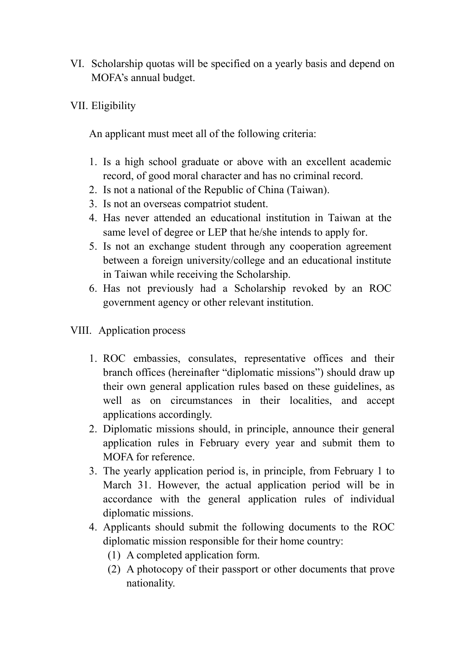- VI. Scholarship quotas will be specified on a yearly basis and depend on MOFA's annual budget.
- VII. Eligibility

An applicant must meet all of the following criteria:

- 1. Is a high school graduate or above with an excellent academic record, of good moral character and has no criminal record.
- 2. Is not a national of the Republic of China (Taiwan).
- 3. Is not an overseas compatriot student.
- 4. Has never attended an educational institution in Taiwan at the same level of degree or LEP that he/she intends to apply for.
- 5. Is not an exchange student through any cooperation agreement between a foreign university/college and an educational institute in Taiwan while receiving the Scholarship.
- 6. Has not previously had a Scholarship revoked by an ROC government agency or other relevant institution.
- VIII. Application process
	- 1. ROC embassies, consulates, representative offices and their branch offices (hereinafter "diplomatic missions") should draw up their own general application rules based on these guidelines, as well as on circumstances in their localities, and accept applications accordingly.
	- 2. Diplomatic missions should, in principle, announce their general application rules in February every year and submit them to MOFA for reference.
	- 3. The yearly application period is, in principle, from February 1 to March 31. However, the actual application period will be in accordance with the general application rules of individual diplomatic missions.
	- 4. Applicants should submit the following documents to the ROC diplomatic mission responsible for their home country:
		- (1) A completed application form.
		- (2) A photocopy of their passport or other documents that prove nationality.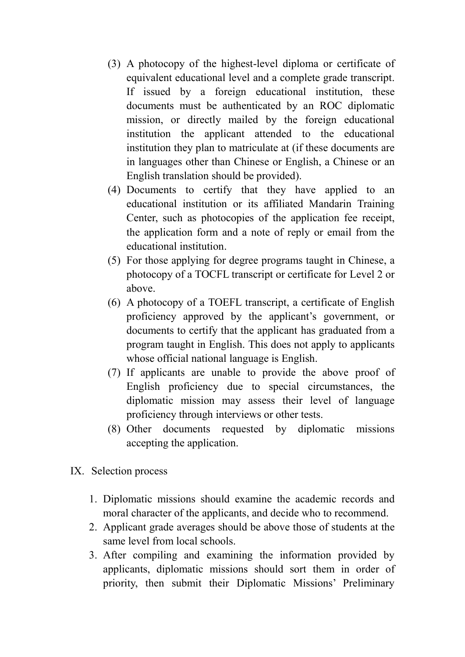- (3) A photocopy of the highest-level diploma or certificate of equivalent educational level and a complete grade transcript. If issued by a foreign educational institution, these documents must be authenticated by an ROC diplomatic mission, or directly mailed by the foreign educational institution the applicant attended to the educational institution they plan to matriculate at (if these documents are in languages other than Chinese or English, a Chinese or an English translation should be provided).
- (4) Documents to certify that they have applied to an educational institution or its affiliated Mandarin Training Center, such as photocopies of the application fee receipt, the application form and a note of reply or email from the educational institution.
- (5) For those applying for degree programs taught in Chinese, a photocopy of a TOCFL transcript or certificate for Level 2 or above.
- (6) A photocopy of a TOEFL transcript, a certificate of English proficiency approved by the applicant's government, or documents to certify that the applicant has graduated from a program taught in English. This does not apply to applicants whose official national language is English.
- (7) If applicants are unable to provide the above proof of English proficiency due to special circumstances, the diplomatic mission may assess their level of language proficiency through interviews or other tests.
- (8) Other documents requested by diplomatic missions accepting the application.
- IX. Selection process
	- 1. Diplomatic missions should examine the academic records and moral character of the applicants, and decide who to recommend.
	- 2. Applicant grade averages should be above those of students at the same level from local schools.
	- 3. After compiling and examining the information provided by applicants, diplomatic missions should sort them in order of priority, then submit their Diplomatic Missions' Preliminary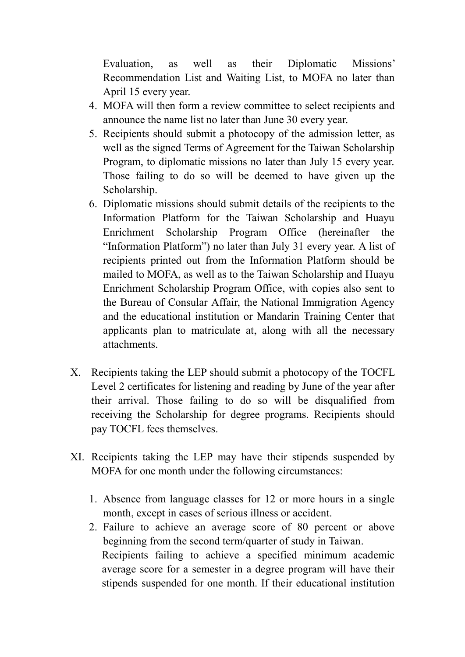Evaluation, as well as their Diplomatic Missions' Recommendation List and Waiting List, to MOFA no later than April 15 every year.

- 4. MOFA will then form a review committee to select recipients and announce the name list no later than June 30 every year.
- 5. Recipients should submit a photocopy of the admission letter, as well as the signed Terms of Agreement for the Taiwan Scholarship Program, to diplomatic missions no later than July 15 every year. Those failing to do so will be deemed to have given up the Scholarship.
- 6. Diplomatic missions should submit details of the recipients to the Information Platform for the Taiwan Scholarship and Huayu Enrichment Scholarship Program Office (hereinafter the "Information Platform") no later than July 31 every year. A list of recipients printed out from the Information Platform should be mailed to MOFA, as well as to the Taiwan Scholarship and Huayu Enrichment Scholarship Program Office, with copies also sent to the Bureau of Consular Affair, the National Immigration Agency and the educational institution or Mandarin Training Center that applicants plan to matriculate at, along with all the necessary attachments.
- X. Recipients taking the LEP should submit a photocopy of the TOCFL Level 2 certificates for listening and reading by June of the year after their arrival. Those failing to do so will be disqualified from receiving the Scholarship for degree programs. Recipients should pay TOCFL fees themselves.
- XI. Recipients taking the LEP may have their stipends suspended by MOFA for one month under the following circumstances:
	- 1. Absence from language classes for 12 or more hours in a single month, except in cases of serious illness or accident.
	- 2. Failure to achieve an average score of 80 percent or above beginning from the second term/quarter of study in Taiwan. Recipients failing to achieve a specified minimum academic average score for a semester in a degree program will have their stipends suspended for one month. If their educational institution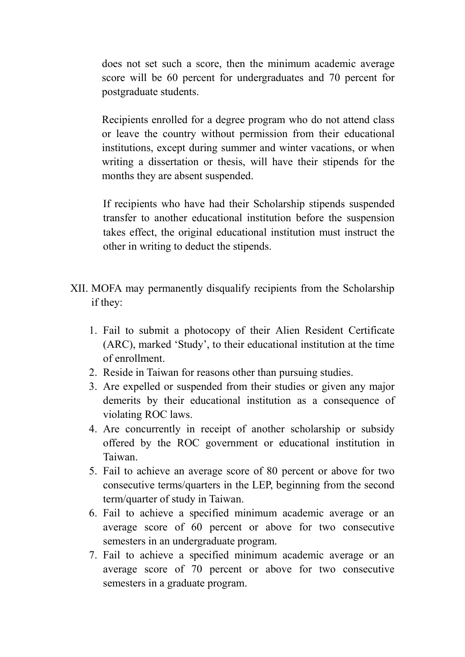does not set such a score, then the minimum academic average score will be 60 percent for undergraduates and 70 percent for postgraduate students.

Recipients enrolled for a degree program who do not attend class or leave the country without permission from their educational institutions, except during summer and winter vacations, or when writing a dissertation or thesis, will have their stipends for the months they are absent suspended.

If recipients who have had their Scholarship stipends suspended transfer to another educational institution before the suspension takes effect, the original educational institution must instruct the other in writing to deduct the stipends.

- XII. MOFA may permanently disqualify recipients from the Scholarship if they:
	- 1. Fail to submit a photocopy of their Alien Resident Certificate (ARC), marked 'Study', to their educational institution at the time of enrollment.
	- 2. Reside in Taiwan for reasons other than pursuing studies.
	- 3. Are expelled or suspended from their studies or given any major demerits by their educational institution as a consequence of violating ROC laws.
	- 4. Are concurrently in receipt of another scholarship or subsidy offered by the ROC government or educational institution in Taiwan.
	- 5. Fail to achieve an average score of 80 percent or above for two consecutive terms/quarters in the LEP, beginning from the second term/quarter of study in Taiwan.
	- 6. Fail to achieve a specified minimum academic average or an average score of 60 percent or above for two consecutive semesters in an undergraduate program.
	- 7. Fail to achieve a specified minimum academic average or an average score of 70 percent or above for two consecutive semesters in a graduate program.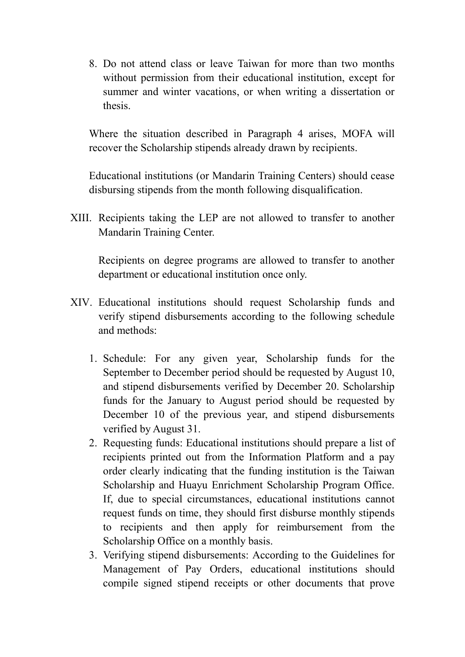8. Do not attend class or leave Taiwan for more than two months without permission from their educational institution, except for summer and winter vacations, or when writing a dissertation or thesis.

Where the situation described in Paragraph 4 arises, MOFA will recover the Scholarship stipends already drawn by recipients.

Educational institutions (or Mandarin Training Centers) should cease disbursing stipends from the month following disqualification.

XIII. Recipients taking the LEP are not allowed to transfer to another Mandarin Training Center.

Recipients on degree programs are allowed to transfer to another department or educational institution once only.

- XIV. Educational institutions should request Scholarship funds and verify stipend disbursements according to the following schedule and methods:
	- 1. Schedule: For any given year, Scholarship funds for the September to December period should be requested by August 10, and stipend disbursements verified by December 20. Scholarship funds for the January to August period should be requested by December 10 of the previous year, and stipend disbursements verified by August 31.
	- 2. Requesting funds: Educational institutions should prepare a list of recipients printed out from the Information Platform and a pay order clearly indicating that the funding institution is the Taiwan Scholarship and Huayu Enrichment Scholarship Program Office. If, due to special circumstances, educational institutions cannot request funds on time, they should first disburse monthly stipends to recipients and then apply for reimbursement from the Scholarship Office on a monthly basis.
	- 3. Verifying stipend disbursements: According to the Guidelines for Management of Pay Orders, educational institutions should compile signed stipend receipts or other documents that prove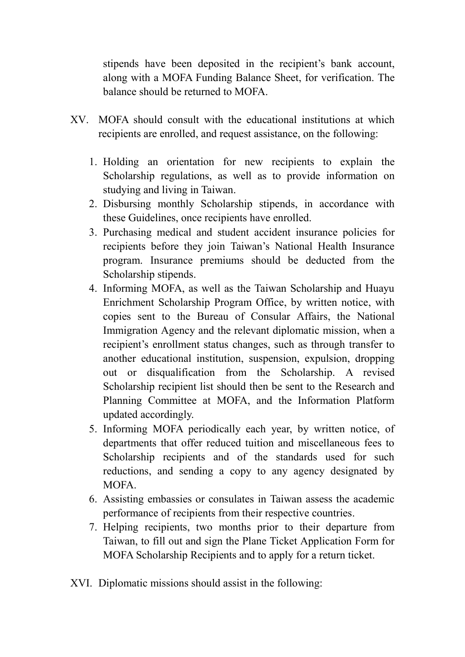stipends have been deposited in the recipient's bank account, along with a MOFA Funding Balance Sheet, for verification. The balance should be returned to MOFA.

- XV. MOFA should consult with the educational institutions at which recipients are enrolled, and request assistance, on the following:
	- 1. Holding an orientation for new recipients to explain the Scholarship regulations, as well as to provide information on studying and living in Taiwan.
	- 2. Disbursing monthly Scholarship stipends, in accordance with these Guidelines, once recipients have enrolled.
	- 3. Purchasing medical and student accident insurance policies for recipients before they join Taiwan's National Health Insurance program. Insurance premiums should be deducted from the Scholarship stipends.
	- 4. Informing MOFA, as well as the Taiwan Scholarship and Huayu Enrichment Scholarship Program Office, by written notice, with copies sent to the Bureau of Consular Affairs, the National Immigration Agency and the relevant diplomatic mission, when a recipient's enrollment status changes, such as through transfer to another educational institution, suspension, expulsion, dropping out or disqualification from the Scholarship. A revised Scholarship recipient list should then be sent to the Research and Planning Committee at MOFA, and the Information Platform updated accordingly.
	- 5. Informing MOFA periodically each year, by written notice, of departments that offer reduced tuition and miscellaneous fees to Scholarship recipients and of the standards used for such reductions, and sending a copy to any agency designated by MOFA.
	- 6. Assisting embassies or consulates in Taiwan assess the academic performance of recipients from their respective countries.
	- 7. Helping recipients, two months prior to their departure from Taiwan, to fill out and sign the Plane Ticket Application Form for MOFA Scholarship Recipients and to apply for a return ticket.
- XVI. Diplomatic missions should assist in the following: